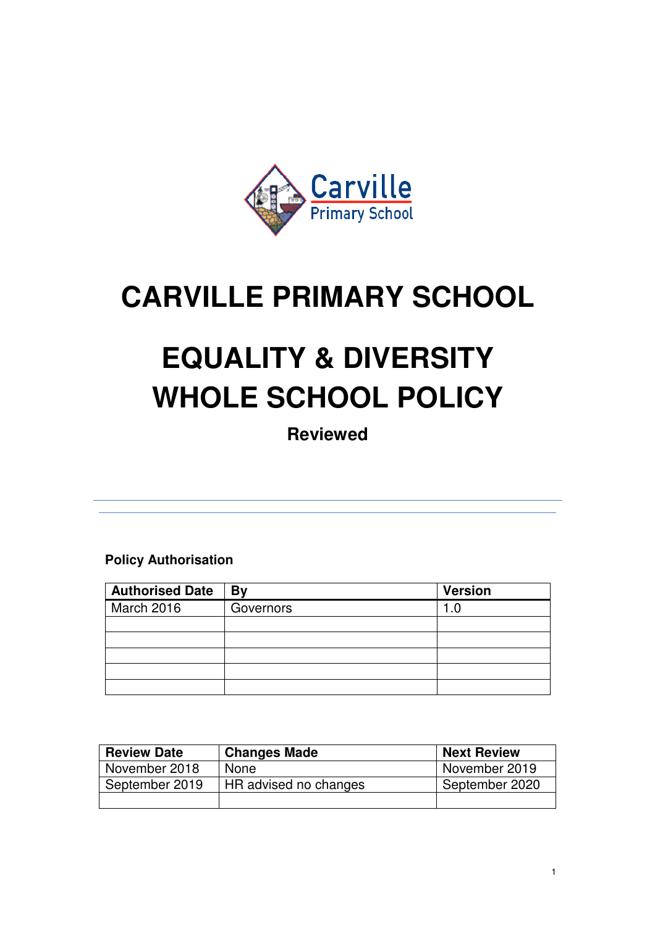

## **CARVILLE PRIMARY SCHOOL**

# **EQUALITY & DIVERSITY WHOLE SCHOOL POLICY**

**Reviewed** 

**Policy Authorisation**

| <b>Authorised Date</b> | By        | <b>Version</b> |
|------------------------|-----------|----------------|
| March 2016             | Governors | . I            |
|                        |           |                |
|                        |           |                |
|                        |           |                |
|                        |           |                |
|                        |           |                |

| <b>Review Date</b> | <b>Changes Made</b>   | <b>Next Review</b> |
|--------------------|-----------------------|--------------------|
| November 2018      | <b>None</b>           | November 2019      |
| September 2019     | HR advised no changes | September 2020     |
|                    |                       |                    |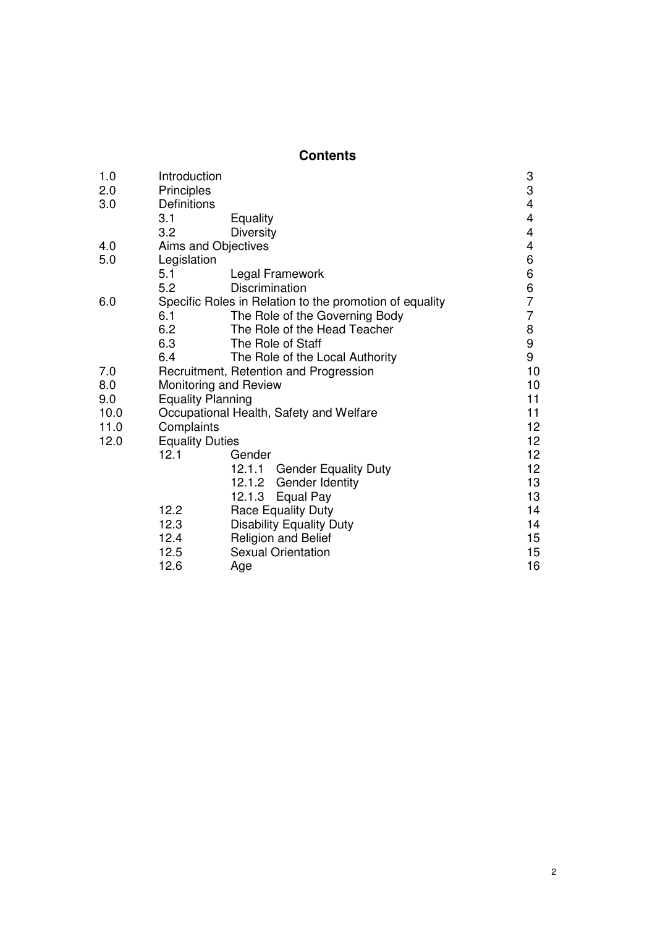## **Contents**

| 1.0  | Introduction                                            |                                         |                                            |  |
|------|---------------------------------------------------------|-----------------------------------------|--------------------------------------------|--|
| 2.0  | Principles                                              |                                         |                                            |  |
| 3.0  | Definitions                                             |                                         | $\begin{array}{c} 3 \\ 3 \\ 4 \end{array}$ |  |
|      | 3.1                                                     | Equality                                | 4                                          |  |
|      | 3.2                                                     | <b>Diversity</b>                        | $\overline{\mathbf{4}}$                    |  |
| 4.0  | Aims and Objectives                                     |                                         |                                            |  |
| 5.0  | Legislation                                             |                                         | 4<br>6                                     |  |
|      | 5.1                                                     | Legal Framework                         | 6                                          |  |
|      | 5.2                                                     | Discrimination                          | 6                                          |  |
| 6.0  | Specific Roles in Relation to the promotion of equality |                                         |                                            |  |
|      | 6.1                                                     | The Role of the Governing Body          | $\overline{7}$                             |  |
|      | 6.2                                                     | The Role of the Head Teacher            | 8                                          |  |
|      | 6.3                                                     | The Role of Staff                       | 9                                          |  |
|      | 6.4                                                     | The Role of the Local Authority         | 9                                          |  |
| 7.0  |                                                         | Recruitment, Retention and Progression  | 10                                         |  |
| 8.0  |                                                         | Monitoring and Review                   | 10                                         |  |
| 9.0  |                                                         | <b>Equality Planning</b>                | 11                                         |  |
| 10.0 |                                                         | Occupational Health, Safety and Welfare | 11                                         |  |
| 11.0 | Complaints                                              |                                         | 12 <sub>2</sub>                            |  |
| 12.0 | <b>Equality Duties</b>                                  |                                         | 12 <sub>2</sub>                            |  |
|      | 12.1                                                    | Gender                                  | 12 <sub>2</sub>                            |  |
|      |                                                         | 12.1.1<br><b>Gender Equality Duty</b>   | 12 <sub>2</sub>                            |  |
|      |                                                         | Gender Identity<br>12.1.2               | 13                                         |  |
|      |                                                         | 12.1.3<br>Equal Pay                     | 13                                         |  |
|      | 12.2                                                    | <b>Race Equality Duty</b>               | 14                                         |  |
|      | 12.3                                                    | <b>Disability Equality Duty</b>         | 14                                         |  |
|      | 12.4                                                    | <b>Religion and Belief</b>              | $15\,$                                     |  |
|      | 12.5                                                    | <b>Sexual Orientation</b>               | 15                                         |  |
|      | 12.6                                                    | Age                                     | 16                                         |  |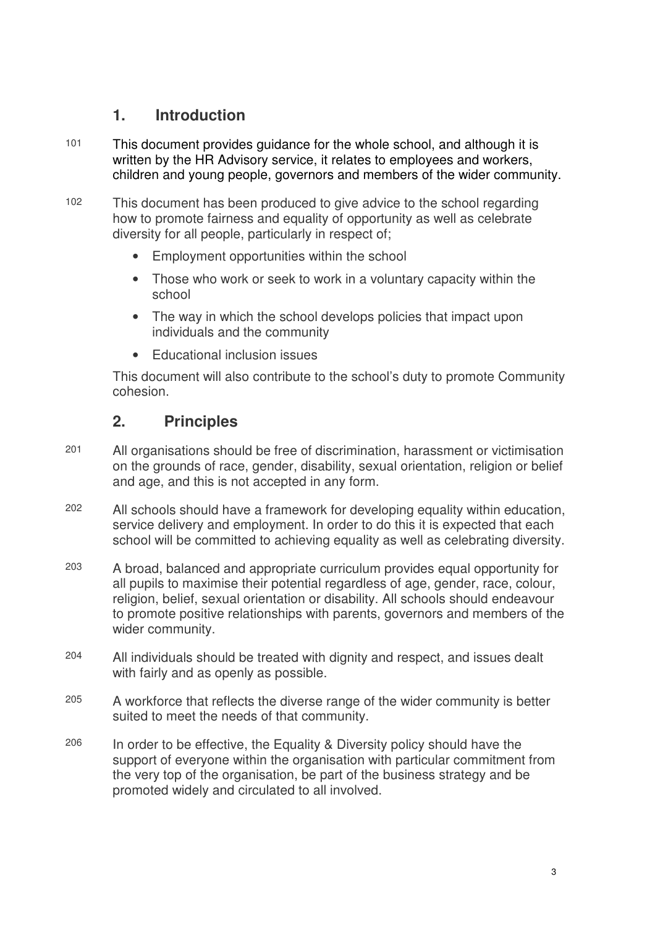## **1. Introduction**

- 101 This document provides guidance for the whole school, and although it is written by the HR Advisory service, it relates to employees and workers, children and young people, governors and members of the wider community.
- 102 This document has been produced to give advice to the school regarding how to promote fairness and equality of opportunity as well as celebrate diversity for all people, particularly in respect of;
	- Employment opportunities within the school
	- Those who work or seek to work in a voluntary capacity within the school
	- The way in which the school develops policies that impact upon individuals and the community
	- Educational inclusion issues

This document will also contribute to the school's duty to promote Community cohesion.

## **2. Principles**

- 201 All organisations should be free of discrimination, harassment or victimisation on the grounds of race, gender, disability, sexual orientation, religion or belief and age, and this is not accepted in any form.
- 202 All schools should have a framework for developing equality within education, service delivery and employment. In order to do this it is expected that each school will be committed to achieving equality as well as celebrating diversity.
- 203 A broad, balanced and appropriate curriculum provides equal opportunity for all pupils to maximise their potential regardless of age, gender, race, colour, religion, belief, sexual orientation or disability. All schools should endeavour to promote positive relationships with parents, governors and members of the wider community.
- 204 All individuals should be treated with dignity and respect, and issues dealt with fairly and as openly as possible.
- 205 A workforce that reflects the diverse range of the wider community is better suited to meet the needs of that community.
- 206 In order to be effective, the Equality & Diversity policy should have the support of everyone within the organisation with particular commitment from the very top of the organisation, be part of the business strategy and be promoted widely and circulated to all involved.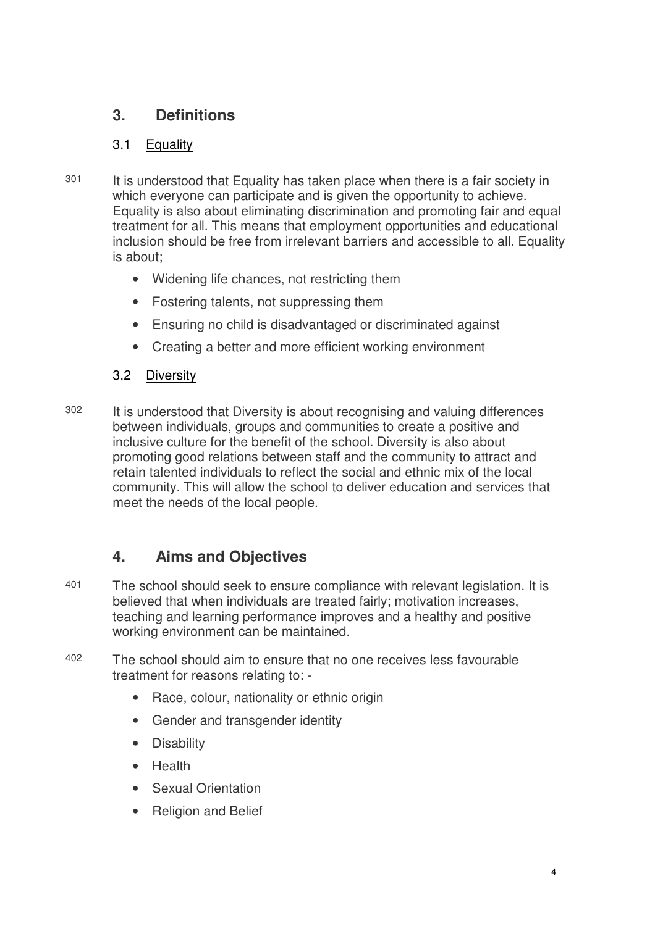## **3. Definitions**

## 3.1 Equality

- 301 It is understood that Equality has taken place when there is a fair society in which everyone can participate and is given the opportunity to achieve. Equality is also about eliminating discrimination and promoting fair and equal treatment for all. This means that employment opportunities and educational inclusion should be free from irrelevant barriers and accessible to all. Equality is about;
	- Widening life chances, not restricting them
	- Fostering talents, not suppressing them
	- Ensuring no child is disadvantaged or discriminated against
	- Creating a better and more efficient working environment

## 3.2 Diversity

302 It is understood that Diversity is about recognising and valuing differences between individuals, groups and communities to create a positive and inclusive culture for the benefit of the school. Diversity is also about promoting good relations between staff and the community to attract and retain talented individuals to reflect the social and ethnic mix of the local community. This will allow the school to deliver education and services that meet the needs of the local people.

## **4. Aims and Objectives**

- 401 The school should seek to ensure compliance with relevant legislation. It is believed that when individuals are treated fairly; motivation increases, teaching and learning performance improves and a healthy and positive working environment can be maintained.
- 402 The school should aim to ensure that no one receives less favourable treatment for reasons relating to: -
	- Race, colour, nationality or ethnic origin
	- Gender and transgender identity
	- Disability
	- Health
	- Sexual Orientation
	- Religion and Belief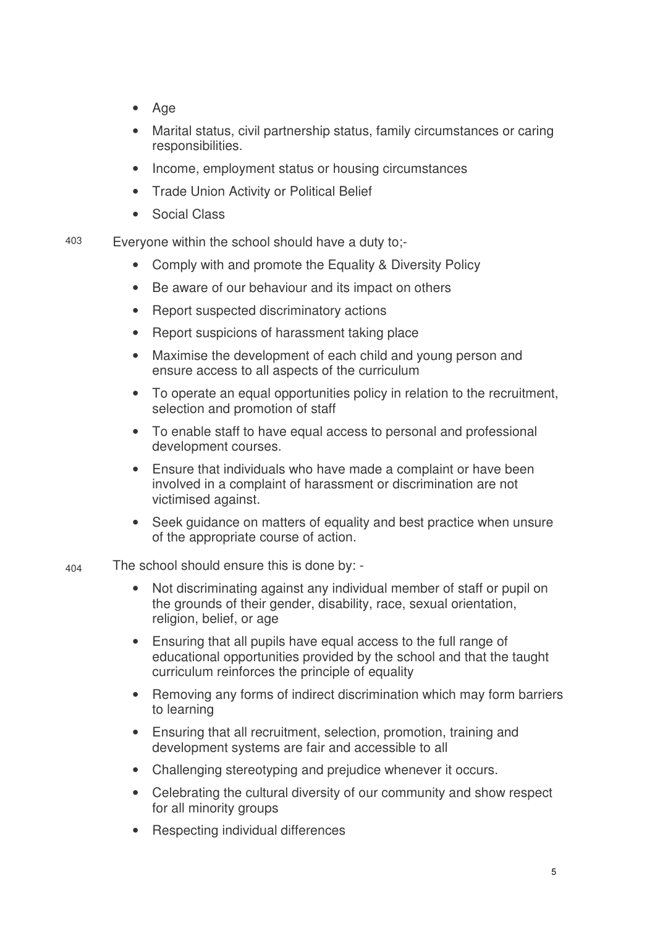- Age
- Marital status, civil partnership status, family circumstances or caring responsibilities.
- Income, employment status or housing circumstances
- Trade Union Activity or Political Belief
- Social Class

403 Everyone within the school should have a duty to;-

- Comply with and promote the Equality & Diversity Policy
- Be aware of our behaviour and its impact on others
- Report suspected discriminatory actions
- Report suspicions of harassment taking place
- Maximise the development of each child and young person and ensure access to all aspects of the curriculum
- To operate an equal opportunities policy in relation to the recruitment, selection and promotion of staff
- To enable staff to have equal access to personal and professional development courses.
- Ensure that individuals who have made a complaint or have been involved in a complaint of harassment or discrimination are not victimised against.
- Seek guidance on matters of equality and best practice when unsure of the appropriate course of action.
- $_{404}$  The school should ensure this is done by: -
	- Not discriminating against any individual member of staff or pupil on the grounds of their gender, disability, race, sexual orientation, religion, belief, or age
	- Ensuring that all pupils have equal access to the full range of educational opportunities provided by the school and that the taught curriculum reinforces the principle of equality
	- Removing any forms of indirect discrimination which may form barriers to learning
	- Ensuring that all recruitment, selection, promotion, training and development systems are fair and accessible to all
	- Challenging stereotyping and prejudice whenever it occurs.
	- Celebrating the cultural diversity of our community and show respect for all minority groups
	- Respecting individual differences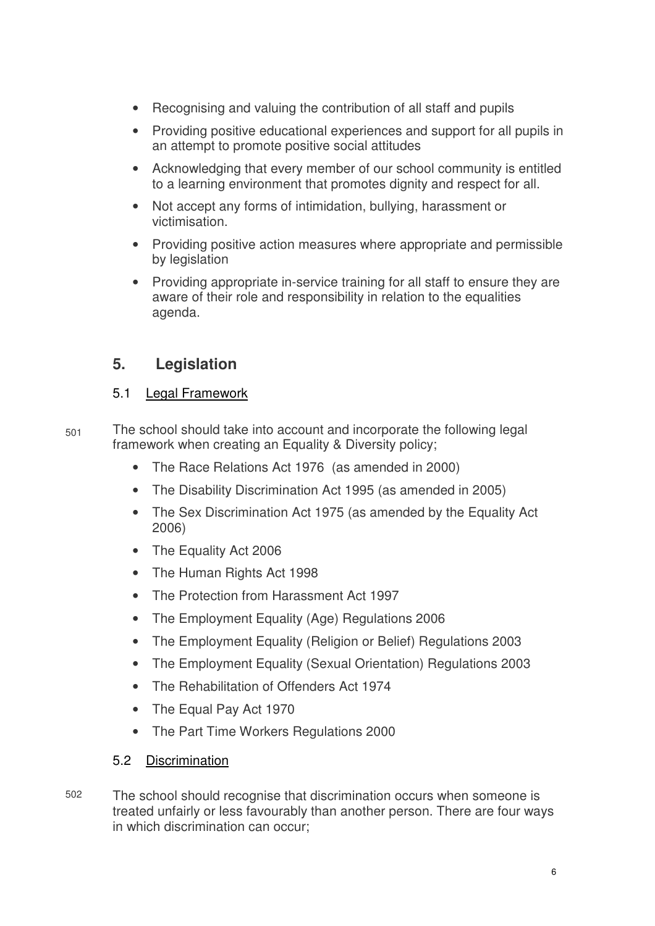- Recognising and valuing the contribution of all staff and pupils
- Providing positive educational experiences and support for all pupils in an attempt to promote positive social attitudes
- Acknowledging that every member of our school community is entitled to a learning environment that promotes dignity and respect for all.
- Not accept any forms of intimidation, bullying, harassment or victimisation.
- Providing positive action measures where appropriate and permissible by legislation
- Providing appropriate in-service training for all staff to ensure they are aware of their role and responsibility in relation to the equalities agenda.

## **5. Legislation**

#### 5.1 Legal Framework

- $501$  The school should take into account and incorporate the following legal framework when creating an Equality & Diversity policy;
	- The Race Relations Act 1976 (as amended in 2000)
	- The Disability Discrimination Act 1995 (as amended in 2005)
	- The Sex Discrimination Act 1975 (as amended by the Equality Act 2006)
	- The Equality Act 2006
	- The Human Rights Act 1998
	- The Protection from Harassment Act 1997
	- The Employment Equality (Age) Regulations 2006
	- The Employment Equality (Religion or Belief) Regulations 2003
	- The Employment Equality (Sexual Orientation) Regulations 2003
	- The Rehabilitation of Offenders Act 1974
	- The Equal Pay Act 1970
	- The Part Time Workers Regulations 2000

#### 5.2 Discrimination

502 The school should recognise that discrimination occurs when someone is treated unfairly or less favourably than another person. There are four ways in which discrimination can occur;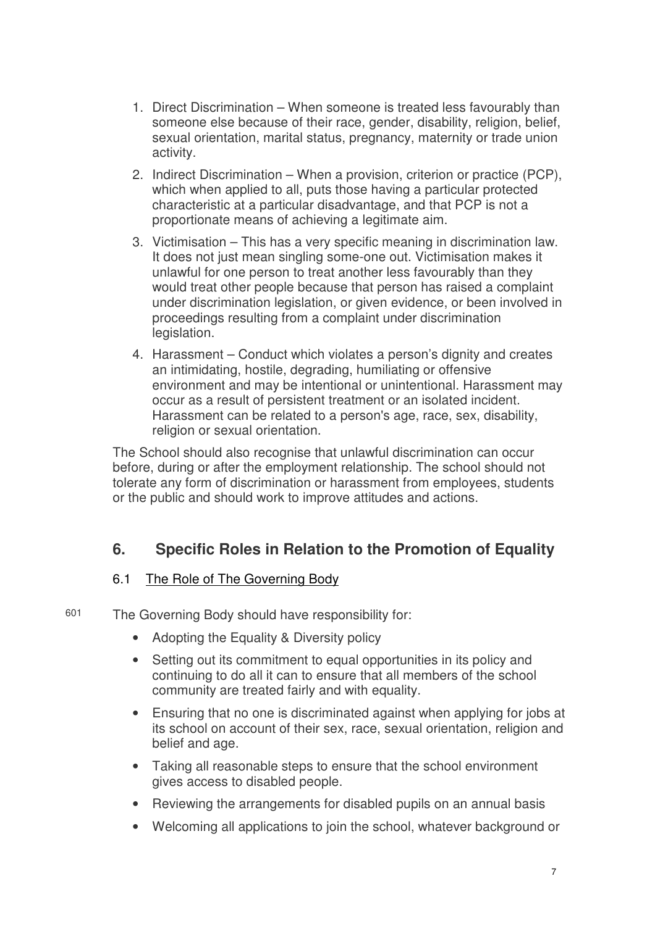- 1. Direct Discrimination When someone is treated less favourably than someone else because of their race, gender, disability, religion, belief, sexual orientation, marital status, pregnancy, maternity or trade union activity.
- 2. Indirect Discrimination When a provision, criterion or practice (PCP), which when applied to all, puts those having a particular protected characteristic at a particular disadvantage, and that PCP is not a proportionate means of achieving a legitimate aim.
- 3. Victimisation This has a very specific meaning in discrimination law. It does not just mean singling some-one out. Victimisation makes it unlawful for one person to treat another less favourably than they would treat other people because that person has raised a complaint under discrimination legislation, or given evidence, or been involved in proceedings resulting from a complaint under discrimination legislation.
- 4. Harassment Conduct which violates a person's dignity and creates an intimidating, hostile, degrading, humiliating or offensive environment and may be intentional or unintentional. Harassment may occur as a result of persistent treatment or an isolated incident. Harassment can be related to a person's age, race, sex, disability, religion or sexual orientation.

The School should also recognise that unlawful discrimination can occur before, during or after the employment relationship. The school should not tolerate any form of discrimination or harassment from employees, students or the public and should work to improve attitudes and actions.

## **6. Specific Roles in Relation to the Promotion of Equality**

#### 6.1 The Role of The Governing Body

601 The Governing Body should have responsibility for:

- Adopting the Equality & Diversity policy
- Setting out its commitment to equal opportunities in its policy and continuing to do all it can to ensure that all members of the school community are treated fairly and with equality.
- Ensuring that no one is discriminated against when applying for jobs at its school on account of their sex, race, sexual orientation, religion and belief and age.
- Taking all reasonable steps to ensure that the school environment gives access to disabled people.
- Reviewing the arrangements for disabled pupils on an annual basis
- Welcoming all applications to join the school, whatever background or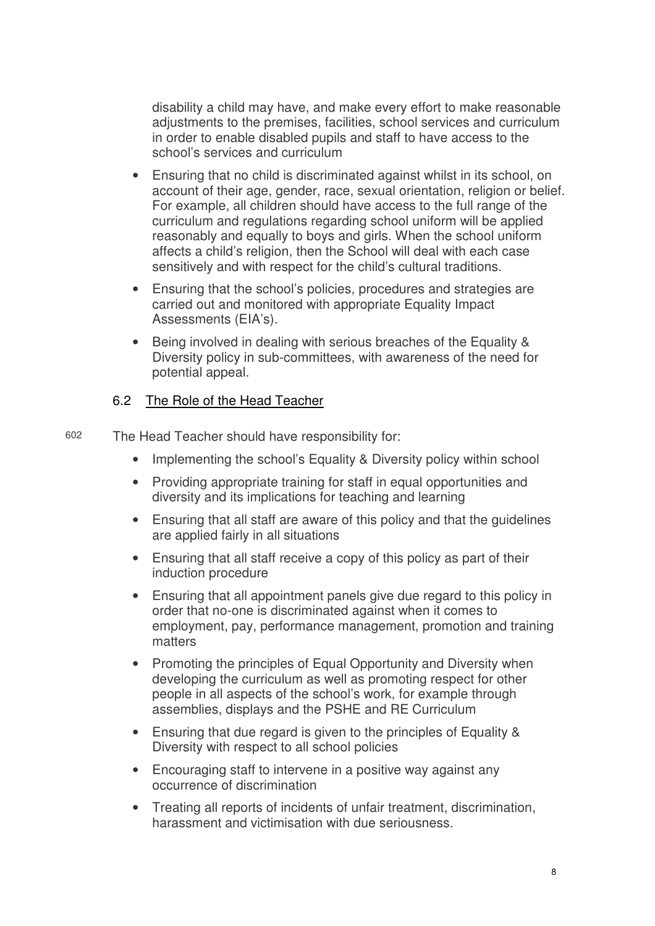disability a child may have, and make every effort to make reasonable adjustments to the premises, facilities, school services and curriculum in order to enable disabled pupils and staff to have access to the school's services and curriculum

- Ensuring that no child is discriminated against whilst in its school, on account of their age, gender, race, sexual orientation, religion or belief. For example, all children should have access to the full range of the curriculum and regulations regarding school uniform will be applied reasonably and equally to boys and girls. When the school uniform affects a child's religion, then the School will deal with each case sensitively and with respect for the child's cultural traditions.
- Ensuring that the school's policies, procedures and strategies are carried out and monitored with appropriate Equality Impact Assessments (EIA's).
- Being involved in dealing with serious breaches of the Equality & Diversity policy in sub-committees, with awareness of the need for potential appeal.

#### 6.2 The Role of the Head Teacher

602 The Head Teacher should have responsibility for:

- Implementing the school's Equality & Diversity policy within school
- Providing appropriate training for staff in equal opportunities and diversity and its implications for teaching and learning
- Ensuring that all staff are aware of this policy and that the guidelines are applied fairly in all situations
- Ensuring that all staff receive a copy of this policy as part of their induction procedure
- Ensuring that all appointment panels give due regard to this policy in order that no-one is discriminated against when it comes to employment, pay, performance management, promotion and training matters
- Promoting the principles of Equal Opportunity and Diversity when developing the curriculum as well as promoting respect for other people in all aspects of the school's work, for example through assemblies, displays and the PSHE and RE Curriculum
- Ensuring that due regard is given to the principles of Equality & Diversity with respect to all school policies
- Encouraging staff to intervene in a positive way against any occurrence of discrimination
- Treating all reports of incidents of unfair treatment, discrimination, harassment and victimisation with due seriousness.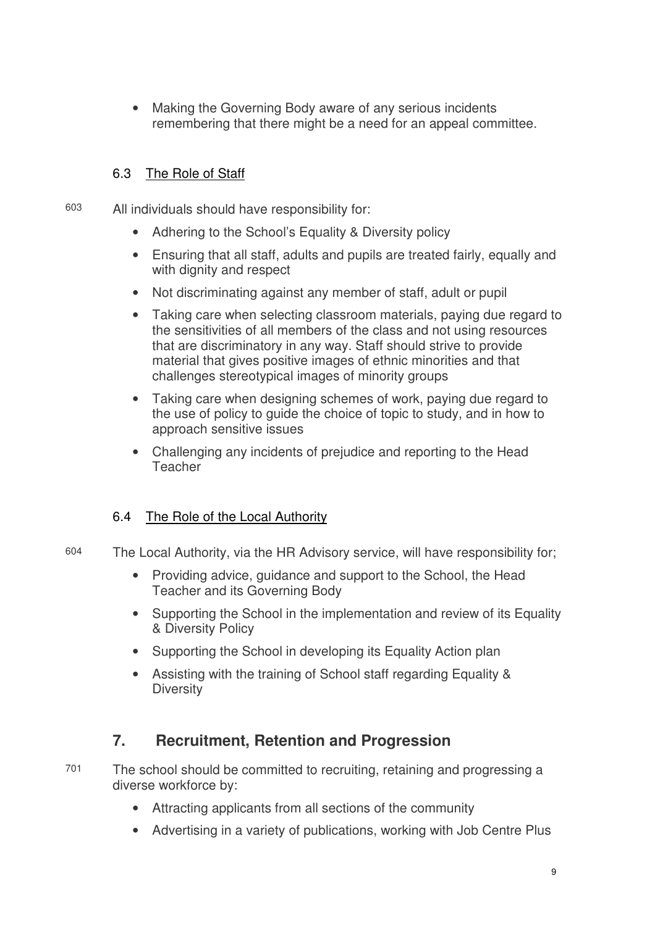• Making the Governing Body aware of any serious incidents remembering that there might be a need for an appeal committee.

### 6.3 The Role of Staff

603 All individuals should have responsibility for:

- Adhering to the School's Equality & Diversity policy
- Ensuring that all staff, adults and pupils are treated fairly, equally and with dignity and respect
- Not discriminating against any member of staff, adult or pupil
- Taking care when selecting classroom materials, paying due regard to the sensitivities of all members of the class and not using resources that are discriminatory in any way. Staff should strive to provide material that gives positive images of ethnic minorities and that challenges stereotypical images of minority groups
- Taking care when designing schemes of work, paying due regard to the use of policy to guide the choice of topic to study, and in how to approach sensitive issues
- Challenging any incidents of prejudice and reporting to the Head Teacher

## 6.4 The Role of the Local Authority

- 604 The Local Authority, via the HR Advisory service, will have responsibility for;
	- Providing advice, guidance and support to the School, the Head Teacher and its Governing Body
	- Supporting the School in the implementation and review of its Equality & Diversity Policy
	- Supporting the School in developing its Equality Action plan
	- Assisting with the training of School staff regarding Equality & **Diversity**

## **7. Recruitment, Retention and Progression**

701 The school should be committed to recruiting, retaining and progressing a diverse workforce by:

- Attracting applicants from all sections of the community
- Advertising in a variety of publications, working with Job Centre Plus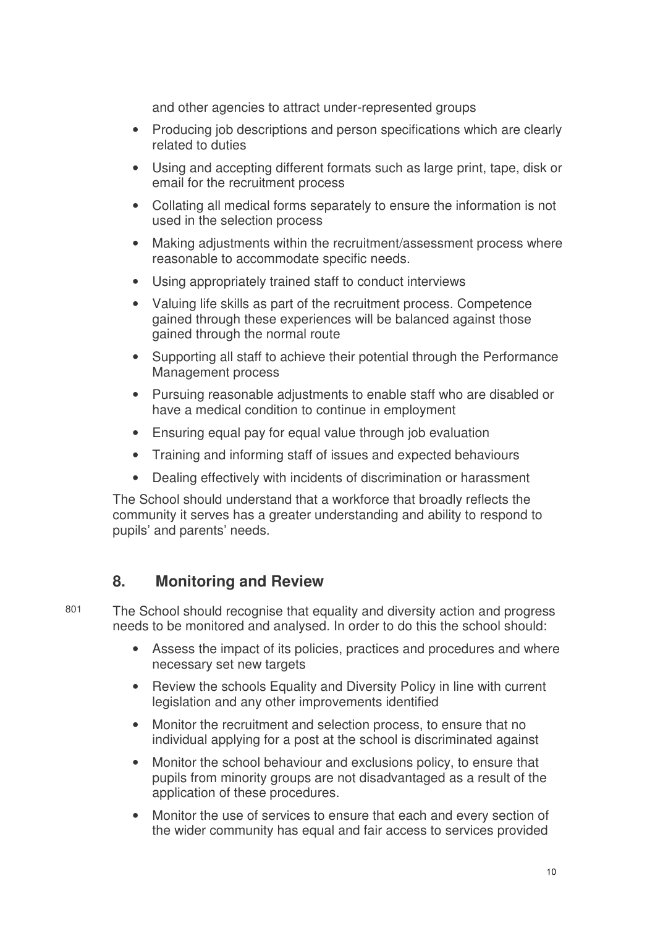and other agencies to attract under-represented groups

- Producing job descriptions and person specifications which are clearly related to duties
- Using and accepting different formats such as large print, tape, disk or email for the recruitment process
- Collating all medical forms separately to ensure the information is not used in the selection process
- Making adjustments within the recruitment/assessment process where reasonable to accommodate specific needs.
- Using appropriately trained staff to conduct interviews
- Valuing life skills as part of the recruitment process. Competence gained through these experiences will be balanced against those gained through the normal route
- Supporting all staff to achieve their potential through the Performance Management process
- Pursuing reasonable adjustments to enable staff who are disabled or have a medical condition to continue in employment
- Ensuring equal pay for equal value through job evaluation
- Training and informing staff of issues and expected behaviours
- Dealing effectively with incidents of discrimination or harassment

The School should understand that a workforce that broadly reflects the community it serves has a greater understanding and ability to respond to pupils' and parents' needs.

## **8. Monitoring and Review**

801 The School should recognise that equality and diversity action and progress needs to be monitored and analysed. In order to do this the school should:

- Assess the impact of its policies, practices and procedures and where necessary set new targets
- Review the schools Equality and Diversity Policy in line with current legislation and any other improvements identified
- Monitor the recruitment and selection process, to ensure that no individual applying for a post at the school is discriminated against
- Monitor the school behaviour and exclusions policy, to ensure that pupils from minority groups are not disadvantaged as a result of the application of these procedures.
- Monitor the use of services to ensure that each and every section of the wider community has equal and fair access to services provided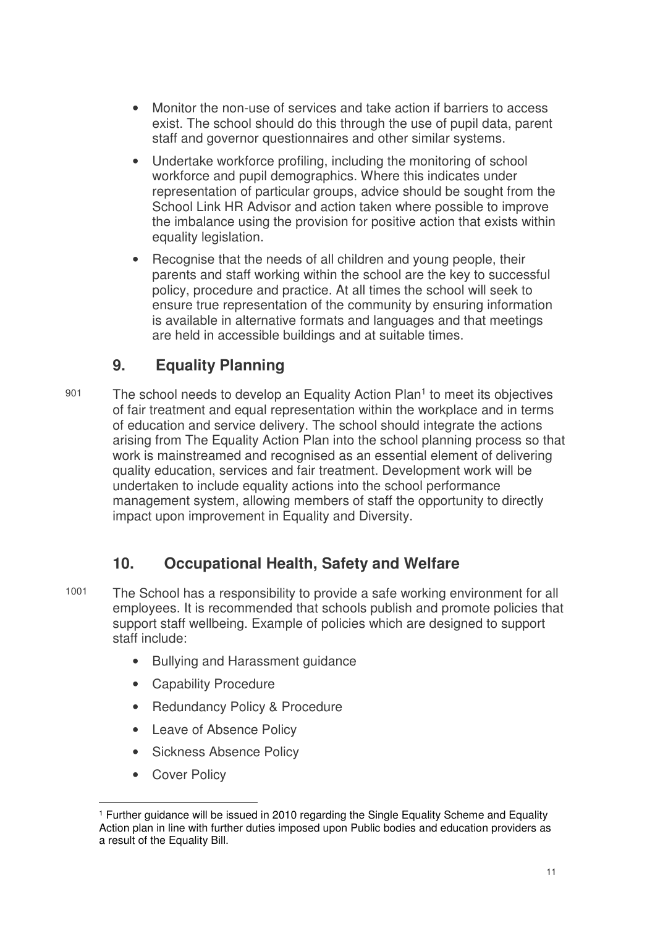- Monitor the non-use of services and take action if barriers to access exist. The school should do this through the use of pupil data, parent staff and governor questionnaires and other similar systems.
- Undertake workforce profiling, including the monitoring of school workforce and pupil demographics. Where this indicates under representation of particular groups, advice should be sought from the School Link HR Advisor and action taken where possible to improve the imbalance using the provision for positive action that exists within equality legislation.
- Recognise that the needs of all children and young people, their parents and staff working within the school are the key to successful policy, procedure and practice. At all times the school will seek to ensure true representation of the community by ensuring information is available in alternative formats and languages and that meetings are held in accessible buildings and at suitable times.

## **9. Equality Planning**

901 The school needs to develop an Equality Action Plan<sup>1</sup> to meet its objectives of fair treatment and equal representation within the workplace and in terms of education and service delivery. The school should integrate the actions arising from The Equality Action Plan into the school planning process so that work is mainstreamed and recognised as an essential element of delivering quality education, services and fair treatment. Development work will be undertaken to include equality actions into the school performance management system, allowing members of staff the opportunity to directly impact upon improvement in Equality and Diversity.

## **10. Occupational Health, Safety and Welfare**

- 1001 The School has a responsibility to provide a safe working environment for all employees. It is recommended that schools publish and promote policies that support staff wellbeing. Example of policies which are designed to support staff include:
	- Bullying and Harassment guidance
	- Capability Procedure
	- Redundancy Policy & Procedure
	- Leave of Absence Policy
	- Sickness Absence Policy
	- Cover Policy

 $\overline{a}$ 1 Further guidance will be issued in 2010 regarding the Single Equality Scheme and Equality Action plan in line with further duties imposed upon Public bodies and education providers as a result of the Equality Bill.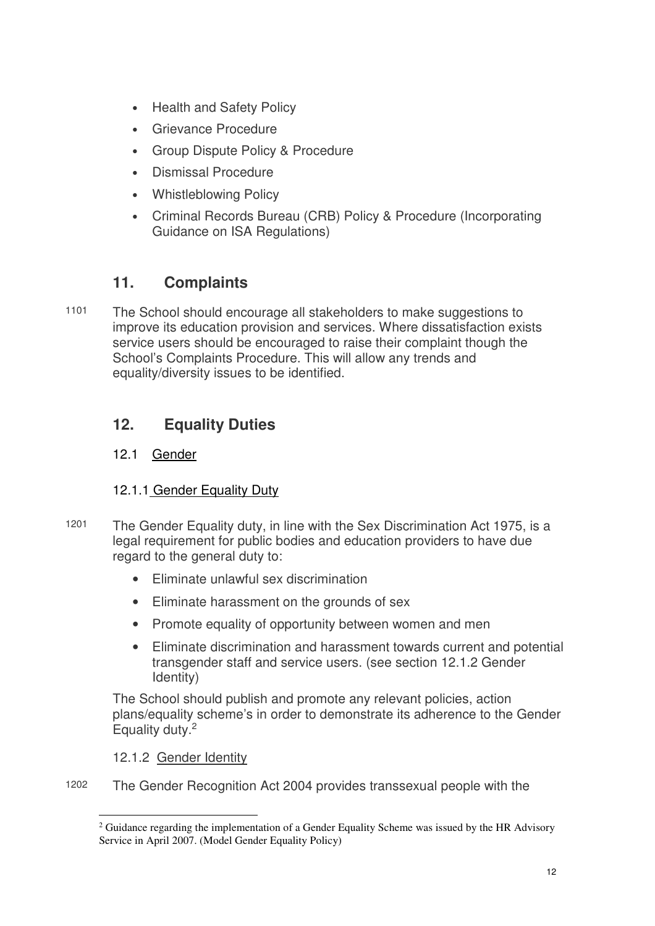- Health and Safety Policy
- Grievance Procedure
- Group Dispute Policy & Procedure
- Dismissal Procedure
- Whistleblowing Policy
- Criminal Records Bureau (CRB) Policy & Procedure (Incorporating Guidance on ISA Regulations)

## **11. Complaints**

1101 The School should encourage all stakeholders to make suggestions to improve its education provision and services. Where dissatisfaction exists service users should be encouraged to raise their complaint though the School's Complaints Procedure. This will allow any trends and equality/diversity issues to be identified.

## **12. Equality Duties**

#### 12.1 Gender

#### 12.1.1 Gender Equality Duty

- 1201 The Gender Equality duty, in line with the Sex Discrimination Act 1975, is a legal requirement for public bodies and education providers to have due regard to the general duty to:
	- Eliminate unlawful sex discrimination
	- Eliminate harassment on the grounds of sex
	- Promote equality of opportunity between women and men
	- Eliminate discrimination and harassment towards current and potential transgender staff and service users. (see section 12.1.2 Gender Identity)

The School should publish and promote any relevant policies, action plans/equality scheme's in order to demonstrate its adherence to the Gender Equality duty.<sup>2</sup>

#### 12.1.2 Gender Identity

1202 The Gender Recognition Act 2004 provides transsexual people with the

 $\overline{a}$  $2$  Guidance regarding the implementation of a Gender Equality Scheme was issued by the HR Advisory Service in April 2007. (Model Gender Equality Policy)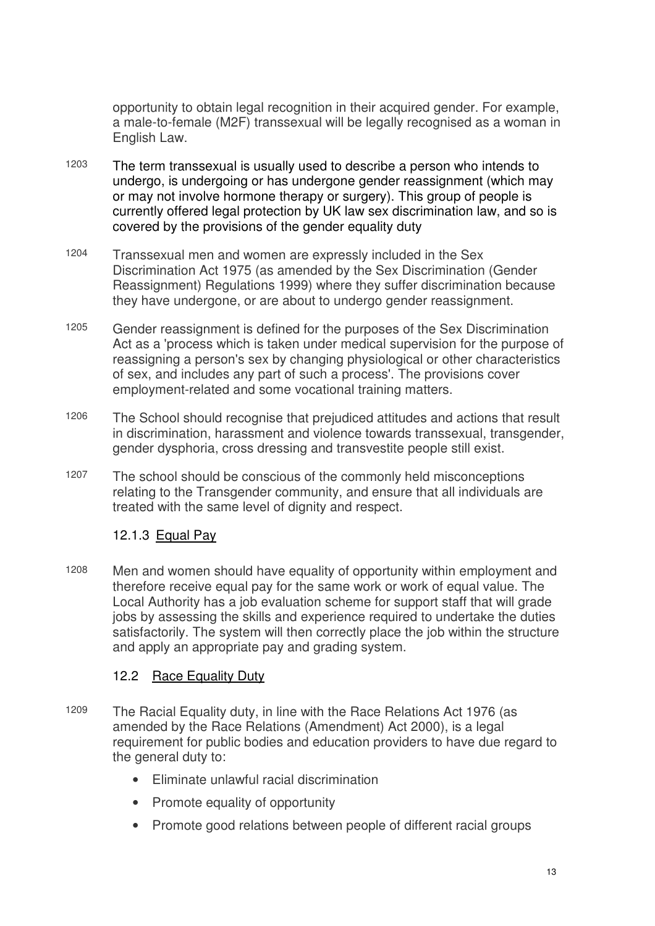opportunity to obtain legal recognition in their acquired gender. For example, a male-to-female (M2F) transsexual will be legally recognised as a woman in English Law.

- 1203 The term transsexual is usually used to describe a person who intends to undergo, is undergoing or has undergone gender reassignment (which may or may not involve hormone therapy or surgery). This group of people is currently offered legal protection by UK law sex discrimination law, and so is covered by the provisions of the gender equality duty
- 1204 Transsexual men and women are expressly included in the Sex Discrimination Act 1975 (as amended by the Sex Discrimination (Gender Reassignment) Regulations 1999) where they suffer discrimination because they have undergone, or are about to undergo gender reassignment.
- 1205 Gender reassignment is defined for the purposes of the Sex Discrimination Act as a 'process which is taken under medical supervision for the purpose of reassigning a person's sex by changing physiological or other characteristics of sex, and includes any part of such a process'. The provisions cover employment-related and some vocational training matters.
- 1206 The School should recognise that prejudiced attitudes and actions that result in discrimination, harassment and violence towards transsexual, transgender, gender dysphoria, cross dressing and transvestite people still exist.
- 1207 The school should be conscious of the commonly held misconceptions relating to the Transgender community, and ensure that all individuals are treated with the same level of dignity and respect.

#### 12.1.3 Equal Pay

1208 Men and women should have equality of opportunity within employment and therefore receive equal pay for the same work or work of equal value. The Local Authority has a job evaluation scheme for support staff that will grade jobs by assessing the skills and experience required to undertake the duties satisfactorily. The system will then correctly place the job within the structure and apply an appropriate pay and grading system.

#### 12.2 Race Equality Duty

- 1209 The Racial Equality duty, in line with the Race Relations Act 1976 (as amended by the Race Relations (Amendment) Act 2000), is a legal requirement for public bodies and education providers to have due regard to the general duty to:
	- Eliminate unlawful racial discrimination
	- Promote equality of opportunity
	- Promote good relations between people of different racial groups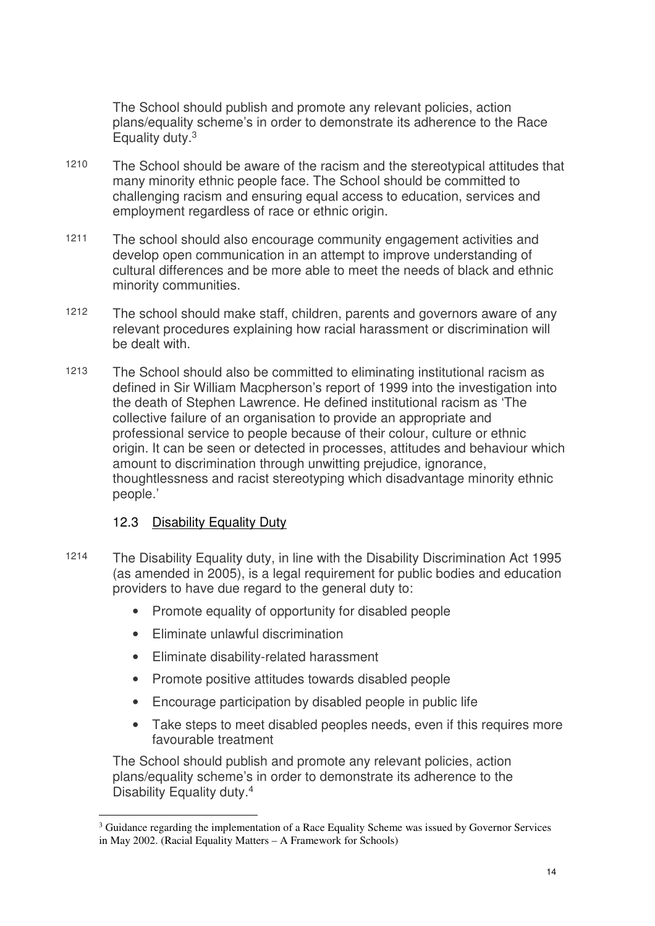The School should publish and promote any relevant policies, action plans/equality scheme's in order to demonstrate its adherence to the Race Equality duty.<sup>3</sup>

- 1210 The School should be aware of the racism and the stereotypical attitudes that many minority ethnic people face. The School should be committed to challenging racism and ensuring equal access to education, services and employment regardless of race or ethnic origin.
- 1211 The school should also encourage community engagement activities and develop open communication in an attempt to improve understanding of cultural differences and be more able to meet the needs of black and ethnic minority communities.
- 1212 The school should make staff, children, parents and governors aware of any relevant procedures explaining how racial harassment or discrimination will be dealt with.
- 1213 The School should also be committed to eliminating institutional racism as defined in Sir William Macpherson's report of 1999 into the investigation into the death of Stephen Lawrence. He defined institutional racism as 'The collective failure of an organisation to provide an appropriate and professional service to people because of their colour, culture or ethnic origin. It can be seen or detected in processes, attitudes and behaviour which amount to discrimination through unwitting prejudice, ignorance, thoughtlessness and racist stereotyping which disadvantage minority ethnic people.'

#### 12.3 Disability Equality Duty

- 1214 The Disability Equality duty, in line with the Disability Discrimination Act 1995 (as amended in 2005), is a legal requirement for public bodies and education providers to have due regard to the general duty to:
	- Promote equality of opportunity for disabled people
	- Eliminate unlawful discrimination
	- Eliminate disability-related harassment
	- Promote positive attitudes towards disabled people
	- Encourage participation by disabled people in public life
	- Take steps to meet disabled peoples needs, even if this requires more favourable treatment

The School should publish and promote any relevant policies, action plans/equality scheme's in order to demonstrate its adherence to the Disability Equality duty.<sup>4</sup>

 $\overline{a}$ <sup>3</sup> Guidance regarding the implementation of a Race Equality Scheme was issued by Governor Services in May 2002. (Racial Equality Matters – A Framework for Schools)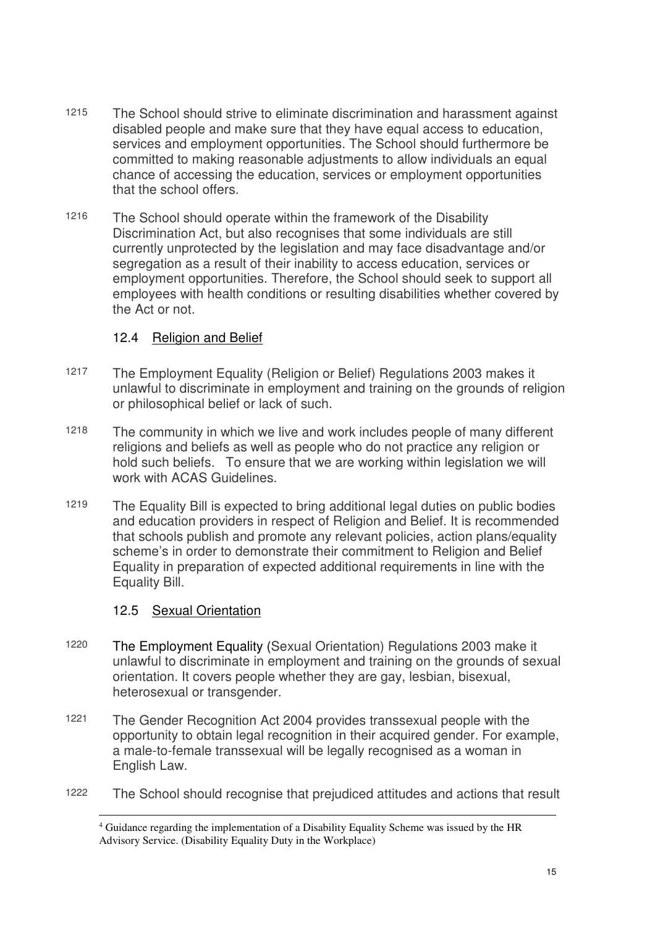- 1215 The School should strive to eliminate discrimination and harassment against disabled people and make sure that they have equal access to education, services and employment opportunities. The School should furthermore be committed to making reasonable adjustments to allow individuals an equal chance of accessing the education, services or employment opportunities that the school offers.
- 1216 The School should operate within the framework of the Disability Discrimination Act, but also recognises that some individuals are still currently unprotected by the legislation and may face disadvantage and/or segregation as a result of their inability to access education, services or employment opportunities. Therefore, the School should seek to support all employees with health conditions or resulting disabilities whether covered by the Act or not.

#### 12.4 Religion and Belief

- 1217 The Employment Equality (Religion or Belief) Regulations 2003 makes it unlawful to discriminate in employment and training on the grounds of religion or philosophical belief or lack of such.
- 1218 The community in which we live and work includes people of many different religions and beliefs as well as people who do not practice any religion or hold such beliefs. To ensure that we are working within legislation we will work with ACAS Guidelines.
- 1219 The Equality Bill is expected to bring additional legal duties on public bodies and education providers in respect of Religion and Belief. It is recommended that schools publish and promote any relevant policies, action plans/equality scheme's in order to demonstrate their commitment to Religion and Belief Equality in preparation of expected additional requirements in line with the Equality Bill.

#### 12.5 Sexual Orientation

- 1220 The Employment Equality (Sexual Orientation) Regulations 2003 make it unlawful to discriminate in employment and training on the grounds of sexual orientation. It covers people whether they are gay, lesbian, bisexual, heterosexual or transgender.
- 1221 The Gender Recognition Act 2004 provides transsexual people with the opportunity to obtain legal recognition in their acquired gender. For example, a male-to-female transsexual will be legally recognised as a woman in English Law.
- 1222 The School should recognise that prejudiced attitudes and actions that result

 $\overline{a}$ <sup>4</sup> Guidance regarding the implementation of a Disability Equality Scheme was issued by the HR Advisory Service. (Disability Equality Duty in the Workplace)